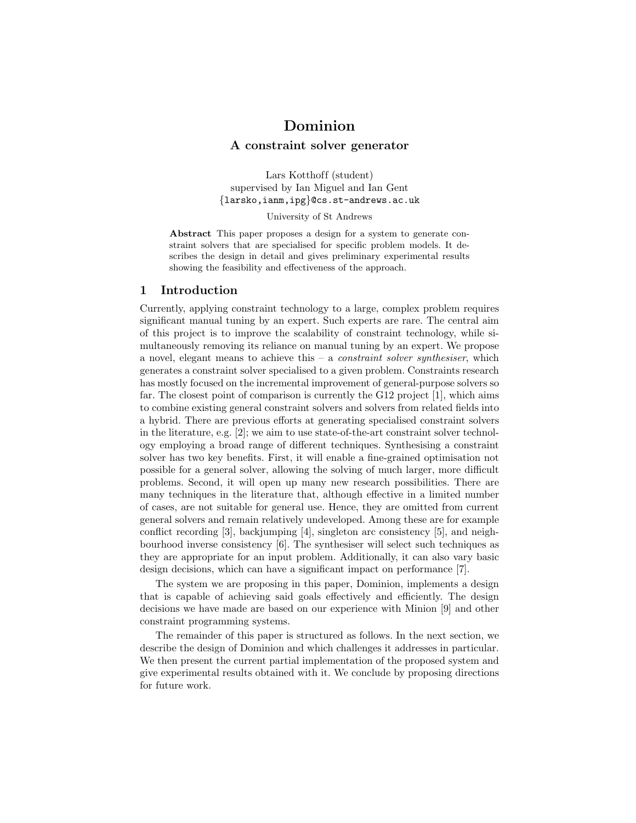# Dominion

# A constraint solver generator

Lars Kotthoff (student) supervised by Ian Miguel and Ian Gent {larsko,ianm,ipg}@cs.st-andrews.ac.uk

University of St Andrews

Abstract This paper proposes a design for a system to generate constraint solvers that are specialised for specific problem models. It describes the design in detail and gives preliminary experimental results showing the feasibility and effectiveness of the approach.

# 1 Introduction

Currently, applying constraint technology to a large, complex problem requires significant manual tuning by an expert. Such experts are rare. The central aim of this project is to improve the scalability of constraint technology, while simultaneously removing its reliance on manual tuning by an expert. We propose a novel, elegant means to achieve this  $-$  a *constraint solver synthesiser*, which generates a constraint solver specialised to a given problem. Constraints research has mostly focused on the incremental improvement of general-purpose solvers so far. The closest point of comparison is currently the G12 project [1], which aims to combine existing general constraint solvers and solvers from related fields into a hybrid. There are previous efforts at generating specialised constraint solvers in the literature, e.g. [2]; we aim to use state-of-the-art constraint solver technology employing a broad range of different techniques. Synthesising a constraint solver has two key benefits. First, it will enable a fine-grained optimisation not possible for a general solver, allowing the solving of much larger, more difficult problems. Second, it will open up many new research possibilities. There are many techniques in the literature that, although effective in a limited number of cases, are not suitable for general use. Hence, they are omitted from current general solvers and remain relatively undeveloped. Among these are for example conflict recording [3], backjumping [4], singleton arc consistency [5], and neighbourhood inverse consistency [6]. The synthesiser will select such techniques as they are appropriate for an input problem. Additionally, it can also vary basic design decisions, which can have a significant impact on performance [7].

The system we are proposing in this paper, Dominion, implements a design that is capable of achieving said goals effectively and efficiently. The design decisions we have made are based on our experience with Minion [9] and other constraint programming systems.

The remainder of this paper is structured as follows. In the next section, we describe the design of Dominion and which challenges it addresses in particular. We then present the current partial implementation of the proposed system and give experimental results obtained with it. We conclude by proposing directions for future work.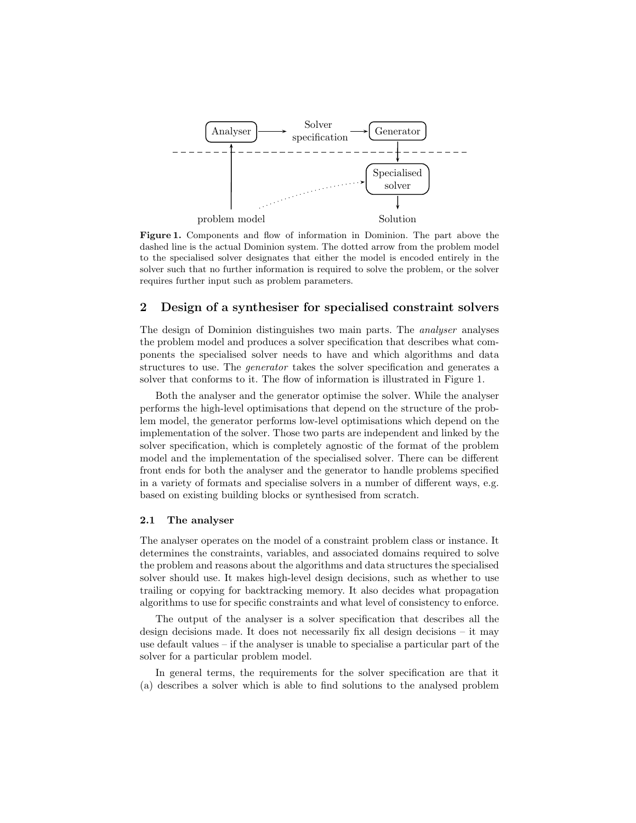

Figure 1. Components and flow of information in Dominion. The part above the dashed line is the actual Dominion system. The dotted arrow from the problem model to the specialised solver designates that either the model is encoded entirely in the solver such that no further information is required to solve the problem, or the solver requires further input such as problem parameters.

# 2 Design of a synthesiser for specialised constraint solvers

The design of Dominion distinguishes two main parts. The analyser analyses the problem model and produces a solver specification that describes what components the specialised solver needs to have and which algorithms and data structures to use. The generator takes the solver specification and generates a solver that conforms to it. The flow of information is illustrated in Figure 1.

Both the analyser and the generator optimise the solver. While the analyser performs the high-level optimisations that depend on the structure of the problem model, the generator performs low-level optimisations which depend on the implementation of the solver. Those two parts are independent and linked by the solver specification, which is completely agnostic of the format of the problem model and the implementation of the specialised solver. There can be different front ends for both the analyser and the generator to handle problems specified in a variety of formats and specialise solvers in a number of different ways, e.g. based on existing building blocks or synthesised from scratch.

### 2.1 The analyser

The analyser operates on the model of a constraint problem class or instance. It determines the constraints, variables, and associated domains required to solve the problem and reasons about the algorithms and data structures the specialised solver should use. It makes high-level design decisions, such as whether to use trailing or copying for backtracking memory. It also decides what propagation algorithms to use for specific constraints and what level of consistency to enforce.

The output of the analyser is a solver specification that describes all the design decisions made. It does not necessarily fix all design decisions – it may use default values – if the analyser is unable to specialise a particular part of the solver for a particular problem model.

In general terms, the requirements for the solver specification are that it (a) describes a solver which is able to find solutions to the analysed problem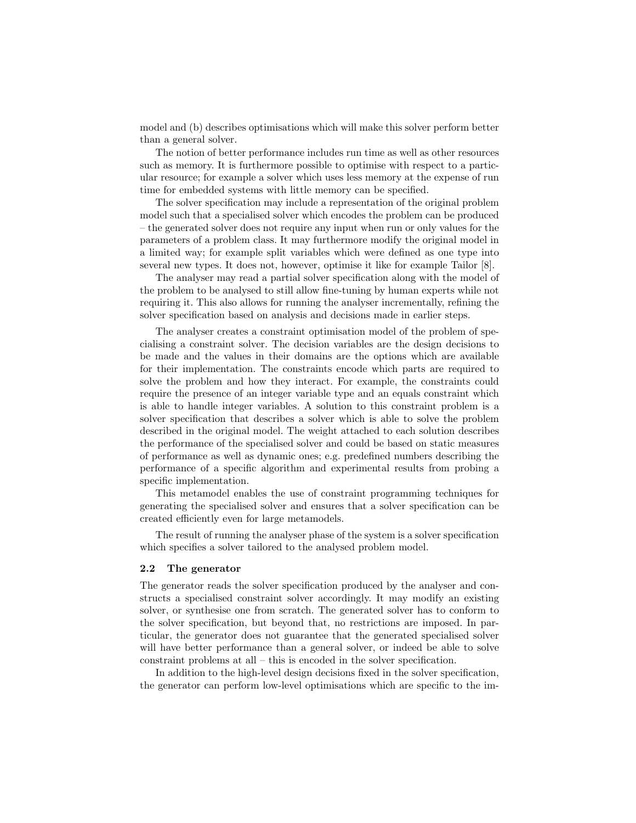model and (b) describes optimisations which will make this solver perform better than a general solver.

The notion of better performance includes run time as well as other resources such as memory. It is furthermore possible to optimise with respect to a particular resource; for example a solver which uses less memory at the expense of run time for embedded systems with little memory can be specified.

The solver specification may include a representation of the original problem model such that a specialised solver which encodes the problem can be produced – the generated solver does not require any input when run or only values for the parameters of a problem class. It may furthermore modify the original model in a limited way; for example split variables which were defined as one type into several new types. It does not, however, optimise it like for example Tailor [8].

The analyser may read a partial solver specification along with the model of the problem to be analysed to still allow fine-tuning by human experts while not requiring it. This also allows for running the analyser incrementally, refining the solver specification based on analysis and decisions made in earlier steps.

The analyser creates a constraint optimisation model of the problem of specialising a constraint solver. The decision variables are the design decisions to be made and the values in their domains are the options which are available for their implementation. The constraints encode which parts are required to solve the problem and how they interact. For example, the constraints could require the presence of an integer variable type and an equals constraint which is able to handle integer variables. A solution to this constraint problem is a solver specification that describes a solver which is able to solve the problem described in the original model. The weight attached to each solution describes the performance of the specialised solver and could be based on static measures of performance as well as dynamic ones; e.g. predefined numbers describing the performance of a specific algorithm and experimental results from probing a specific implementation.

This metamodel enables the use of constraint programming techniques for generating the specialised solver and ensures that a solver specification can be created efficiently even for large metamodels.

The result of running the analyser phase of the system is a solver specification which specifies a solver tailored to the analysed problem model.

#### 2.2 The generator

The generator reads the solver specification produced by the analyser and constructs a specialised constraint solver accordingly. It may modify an existing solver, or synthesise one from scratch. The generated solver has to conform to the solver specification, but beyond that, no restrictions are imposed. In particular, the generator does not guarantee that the generated specialised solver will have better performance than a general solver, or indeed be able to solve constraint problems at all – this is encoded in the solver specification.

In addition to the high-level design decisions fixed in the solver specification, the generator can perform low-level optimisations which are specific to the im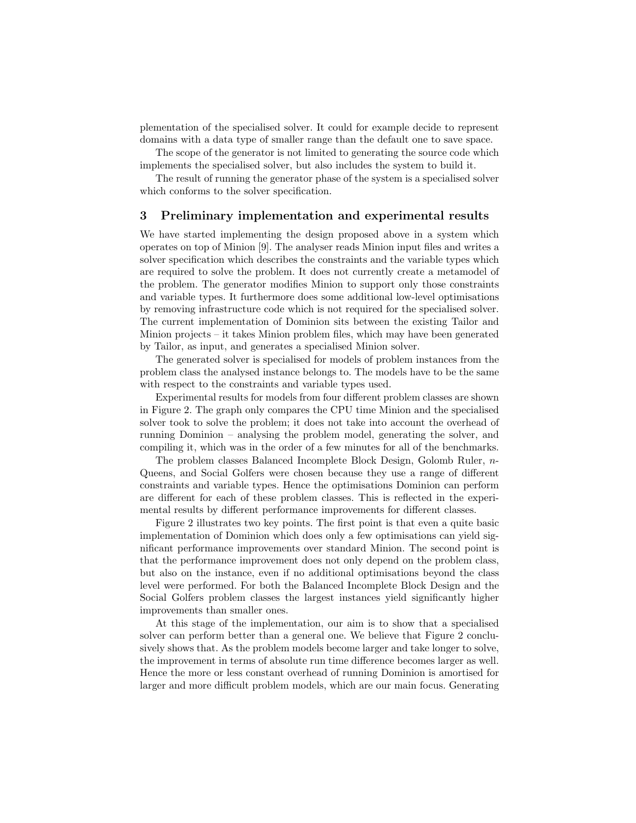plementation of the specialised solver. It could for example decide to represent domains with a data type of smaller range than the default one to save space.

The scope of the generator is not limited to generating the source code which implements the specialised solver, but also includes the system to build it.

The result of running the generator phase of the system is a specialised solver which conforms to the solver specification.

### 3 Preliminary implementation and experimental results

We have started implementing the design proposed above in a system which operates on top of Minion [9]. The analyser reads Minion input files and writes a solver specification which describes the constraints and the variable types which are required to solve the problem. It does not currently create a metamodel of the problem. The generator modifies Minion to support only those constraints and variable types. It furthermore does some additional low-level optimisations by removing infrastructure code which is not required for the specialised solver. The current implementation of Dominion sits between the existing Tailor and Minion projects – it takes Minion problem files, which may have been generated by Tailor, as input, and generates a specialised Minion solver.

The generated solver is specialised for models of problem instances from the problem class the analysed instance belongs to. The models have to be the same with respect to the constraints and variable types used.

Experimental results for models from four different problem classes are shown in Figure 2. The graph only compares the CPU time Minion and the specialised solver took to solve the problem; it does not take into account the overhead of running Dominion – analysing the problem model, generating the solver, and compiling it, which was in the order of a few minutes for all of the benchmarks.

The problem classes Balanced Incomplete Block Design, Golomb Ruler, n-Queens, and Social Golfers were chosen because they use a range of different constraints and variable types. Hence the optimisations Dominion can perform are different for each of these problem classes. This is reflected in the experimental results by different performance improvements for different classes.

Figure 2 illustrates two key points. The first point is that even a quite basic implementation of Dominion which does only a few optimisations can yield significant performance improvements over standard Minion. The second point is that the performance improvement does not only depend on the problem class, but also on the instance, even if no additional optimisations beyond the class level were performed. For both the Balanced Incomplete Block Design and the Social Golfers problem classes the largest instances yield significantly higher improvements than smaller ones.

At this stage of the implementation, our aim is to show that a specialised solver can perform better than a general one. We believe that Figure 2 conclusively shows that. As the problem models become larger and take longer to solve, the improvement in terms of absolute run time difference becomes larger as well. Hence the more or less constant overhead of running Dominion is amortised for larger and more difficult problem models, which are our main focus. Generating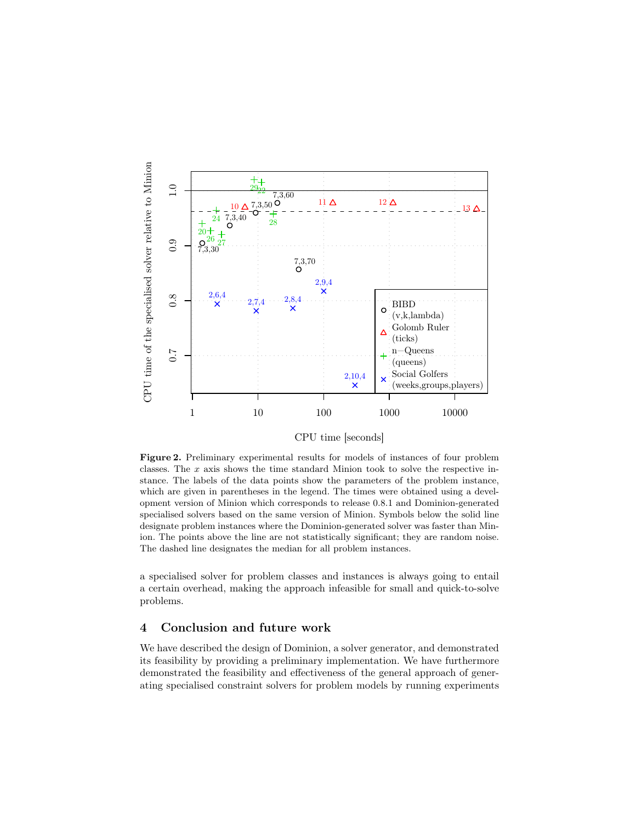

CPU time [seconds]

Figure 2. Preliminary experimental results for models of instances of four problem classes. The  $x$  axis shows the time standard Minion took to solve the respective instance. The labels of the data points show the parameters of the problem instance, which are given in parentheses in the legend. The times were obtained using a development version of Minion which corresponds to release 0.8.1 and Dominion-generated specialised solvers based on the same version of Minion. Symbols below the solid line designate problem instances where the Dominion-generated solver was faster than Minion. The points above the line are not statistically significant; they are random noise. The dashed line designates the median for all problem instances.

a specialised solver for problem classes and instances is always going to entail a certain overhead, making the approach infeasible for small and quick-to-solve problems.

### 4 Conclusion and future work

We have described the design of Dominion, a solver generator, and demonstrated its feasibility by providing a preliminary implementation. We have furthermore demonstrated the feasibility and effectiveness of the general approach of generating specialised constraint solvers for problem models by running experiments